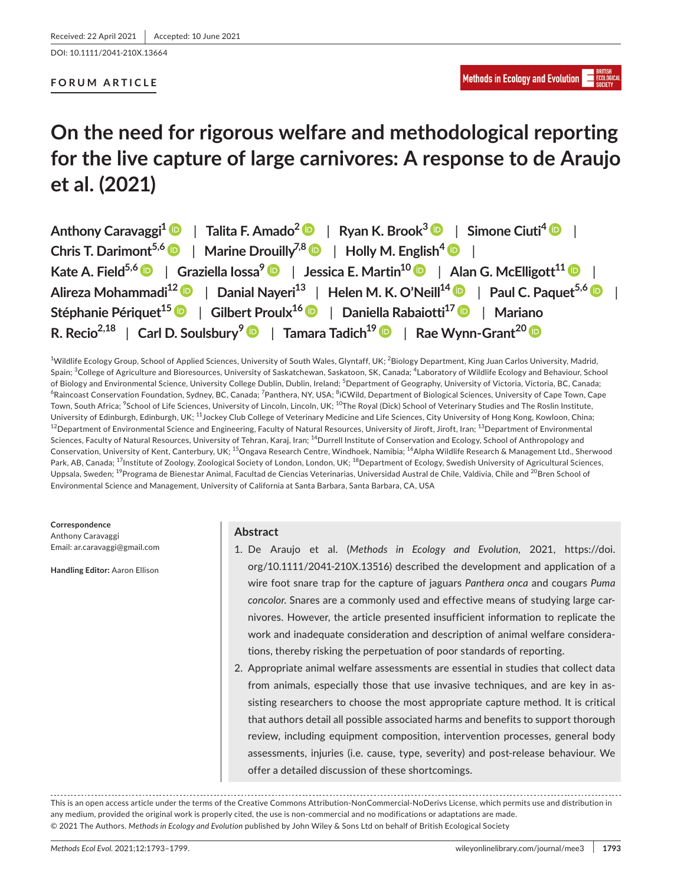DOI: 10.1111/2041-210X.13664

## **FORUM ARTICLE**

# **On the need for rigorous welfare and methodological reporting for the live capture of large carnivores: A response to de Araujo et al. (2021)**

| Anthony Caravaggi <sup>1</sup> •   Talita F. Amado <sup>2</sup> •   Ryan K. Brook <sup>3</sup> •   Simone Ciuti <sup>4</sup> •          |
|-----------------------------------------------------------------------------------------------------------------------------------------|
| Chris T. Darimont <sup>5,6</sup>   Marine Drouilly <sup>7,8</sup>   Holly M. English <sup>4</sup>                                       |
| Kate A. Field <sup>5,6</sup>   Graziella Iossa <sup>9</sup>   Jessica E. Martin <sup>10</sup>   Alan G. McElligott <sup>11</sup>        |
| Alireza Mohammadi <sup>12</sup> D   Danial Nayeri <sup>13</sup>   Helen M. K. O'Neill <sup>14</sup> D   Paul C. Paquet <sup>5,6</sup> D |
| Stéphanie Périquet <sup>15</sup> D   Gilbert Proulx <sup>16</sup> D   Daniella Rabaiotti <sup>17</sup> D   Mariano                      |
| R. Recio <sup>2,18</sup>   Carl D. Soulsbury <sup>9</sup>   Tamara Tadich <sup>19</sup>   Rae Wynn-Grant <sup>20</sup>   R              |

<sup>1</sup>Wildlife Ecology Group, School of Applied Sciences, University of South Wales, Glyntaff, UK; <sup>2</sup>Biology Department, King Juan Carlos University, Madrid, Spain; <sup>3</sup>College of Agriculture and Bioresources, University of Saskatchewan, Saskatoon, SK, Canada; <sup>4</sup>Laboratory of Wildlife Ecology and Behaviour, School of Biology and Environmental Science, University College Dublin, Dublin, Ireland; <sup>5</sup>Department of Geography, University of Victoria, Victoria, BC, Canada; <sup>6</sup>Raincoast Conservation Foundation, Sydney, BC, Canada; <sup>7</sup>Panthera, NY, USA; <sup>8</sup>iCWild, Department of Biological Sciences, University of Cape Town, Cape Town, South Africa; <sup>9</sup>School of Life Sciences, University of Lincoln, Lincoln, UK; <sup>10</sup>The Royal (Dick) School of Veterinary Studies and The Roslin Institute, University of Edinburgh, Edinburgh, UK; <sup>11</sup>Jockey Club College of Veterinary Medicine and Life Sciences, City University of Hong Kong, Kowloon, China;  $12$ Department of Environmental Science and Engineering, Faculty of Natural Resources, University of Jiroft, Jiroft, Iran;  $13$ Department of Environmental Sciences, Faculty of Natural Resources, University of Tehran, Karaj, Iran; <sup>14</sup>Durrell Institute of Conservation and Ecology, School of Anthropology and Conservation, University of Kent, Canterbury, UK; <sup>15</sup>Ongava Research Centre, Windhoek, Namibia; <sup>16</sup>Alpha Wildlife Research & Management Ltd., Sherwood Park, AB, Canada; <sup>17</sup>Institute of Zoology, Zoological Society of London, London, UK; <sup>18</sup>Department of Ecology, Swedish University of Agricultural Sciences, Uppsala, Sweden; <sup>19</sup>Programa de Bienestar Animal, Facultad de Ciencias Veterinarias, Universidad Austral de Chile, Valdivia, Chile and <sup>20</sup>Bren School of Environmental Science and Management, University of California at Santa Barbara, Santa Barbara, CA, USA

**Correspondence** Anthony Caravaggi Email: [ar.caravaggi@gmail.com](mailto:ar.caravaggi@gmail.com)

**Handling Editor:** Aaron Ellison

## **Abstract**

- 1. De Araujo et al. (*Methods in Ecology and Evolution*, 2021, [https://doi.](https://doi.org/10.1111/2041-210X.13516) [org/10.1111/2041-210X.13516\)](https://doi.org/10.1111/2041-210X.13516) described the development and application of a wire foot snare trap for the capture of jaguars *Panthera onca* and cougars *Puma concolor*. Snares are a commonly used and effective means of studying large carnivores. However, the article presented insufficient information to replicate the work and inadequate consideration and description of animal welfare considerations, thereby risking the perpetuation of poor standards of reporting.
- 2. Appropriate animal welfare assessments are essential in studies that collect data from animals, especially those that use invasive techniques, and are key in assisting researchers to choose the most appropriate capture method. It is critical that authors detail all possible associated harms and benefits to support thorough review, including equipment composition, intervention processes, general body assessments, injuries (i.e. cause, type, severity) and post-release behaviour. We offer a detailed discussion of these shortcomings.

This is an open access article under the terms of the [Creative Commons Attribution-NonCommercial-NoDerivs](http://creativecommons.org/licenses/by-nc-nd/4.0/) License, which permits use and distribution in any medium, provided the original work is properly cited, the use is non-commercial and no modifications or adaptations are made. © 2021 The Authors. *Methods in Ecology and Evolution* published by John Wiley & Sons Ltd on behalf of British Ecological Society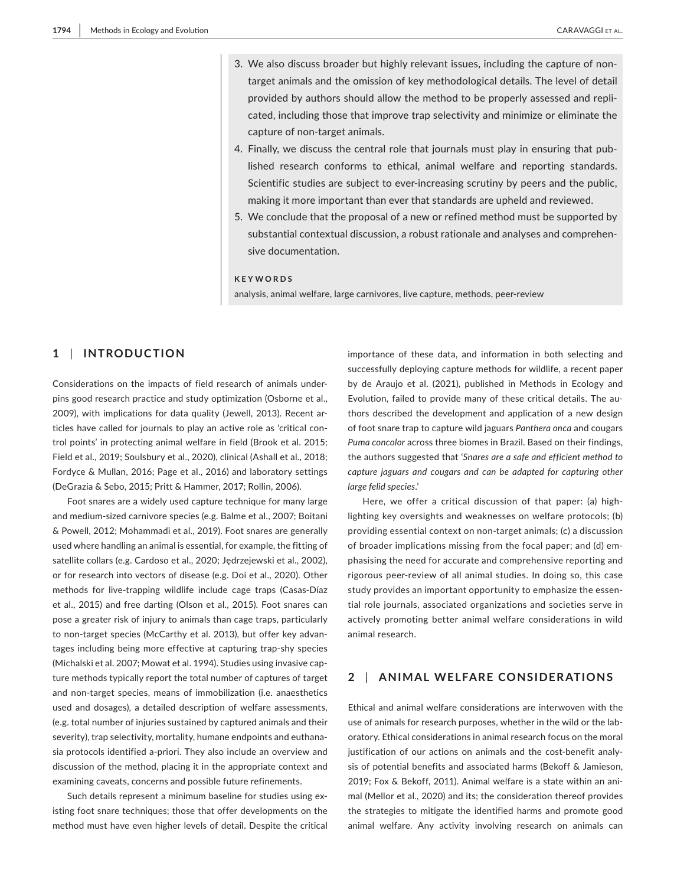- 3. We also discuss broader but highly relevant issues, including the capture of nontarget animals and the omission of key methodological details. The level of detail provided by authors should allow the method to be properly assessed and replicated, including those that improve trap selectivity and minimize or eliminate the capture of non-target animals.
- 4. Finally, we discuss the central role that journals must play in ensuring that published research conforms to ethical, animal welfare and reporting standards. Scientific studies are subject to ever-increasing scrutiny by peers and the public, making it more important than ever that standards are upheld and reviewed.
- 5. We conclude that the proposal of a new or refined method must be supported by substantial contextual discussion, a robust rationale and analyses and comprehensive documentation.

## **KEYWORDS**

analysis, animal welfare, large carnivores, live capture, methods, peer-review

# **1** | **INTRODUCTION**

Considerations on the impacts of field research of animals underpins good research practice and study optimization (Osborne et al., 2009), with implications for data quality (Jewell, 2013). Recent articles have called for journals to play an active role as 'critical control points' in protecting animal welfare in field (Brook et al. 2015; Field et al., 2019; Soulsbury et al., 2020), clinical (Ashall et al., 2018; Fordyce & Mullan, 2016; Page et al., 2016) and laboratory settings (DeGrazia & Sebo, 2015; Pritt & Hammer, 2017; Rollin, 2006).

Foot snares are a widely used capture technique for many large and medium-sized carnivore species (e.g. Balme et al., 2007; Boitani & Powell, 2012; Mohammadi et al., 2019). Foot snares are generally used where handling an animal is essential, for example, the fitting of satellite collars (e.g. Cardoso et al., 2020; Jędrzejewski et al., 2002), or for research into vectors of disease (e.g. Doi et al., 2020). Other methods for live-trapping wildlife include cage traps (Casas-Díaz et al., 2015) and free darting (Olson et al., 2015). Foot snares can pose a greater risk of injury to animals than cage traps, particularly to non-target species (McCarthy et al. 2013), but offer key advantages including being more effective at capturing trap-shy species (Michalski et al. 2007; Mowat et al. 1994). Studies using invasive capture methods typically report the total number of captures of target and non-target species, means of immobilization (i.e. anaesthetics used and dosages), a detailed description of welfare assessments, (e.g. total number of injuries sustained by captured animals and their severity), trap selectivity, mortality, humane endpoints and euthanasia protocols identified a-priori. They also include an overview and discussion of the method, placing it in the appropriate context and examining caveats, concerns and possible future refinements.

Such details represent a minimum baseline for studies using existing foot snare techniques; those that offer developments on the method must have even higher levels of detail. Despite the critical

importance of these data, and information in both selecting and successfully deploying capture methods for wildlife, a recent paper by de Araujo et al. (2021), published in Methods in Ecology and Evolution, failed to provide many of these critical details. The authors described the development and application of a new design of foot snare trap to capture wild jaguars *Panthera onca* and cougars *Puma concolor* across three biomes in Brazil. Based on their findings, the authors suggested that '*Snares are a safe and efficient method to capture jaguars and cougars and can be adapted for capturing other large felid species*.'

Here, we offer a critical discussion of that paper: (a) highlighting key oversights and weaknesses on welfare protocols; (b) providing essential context on non-target animals; (c) a discussion of broader implications missing from the focal paper; and (d) emphasising the need for accurate and comprehensive reporting and rigorous peer-review of all animal studies. In doing so, this case study provides an important opportunity to emphasize the essential role journals, associated organizations and societies serve in actively promoting better animal welfare considerations in wild animal research.

# **2** | **ANIMAL WELFARE CONSIDERATIONS**

Ethical and animal welfare considerations are interwoven with the use of animals for research purposes, whether in the wild or the laboratory. Ethical considerations in animal research focus on the moral justification of our actions on animals and the cost-benefit analysis of potential benefits and associated harms (Bekoff & Jamieson, 2019; Fox & Bekoff, 2011). Animal welfare is a state within an animal (Mellor et al., 2020) and its; the consideration thereof provides the strategies to mitigate the identified harms and promote good animal welfare. Any activity involving research on animals can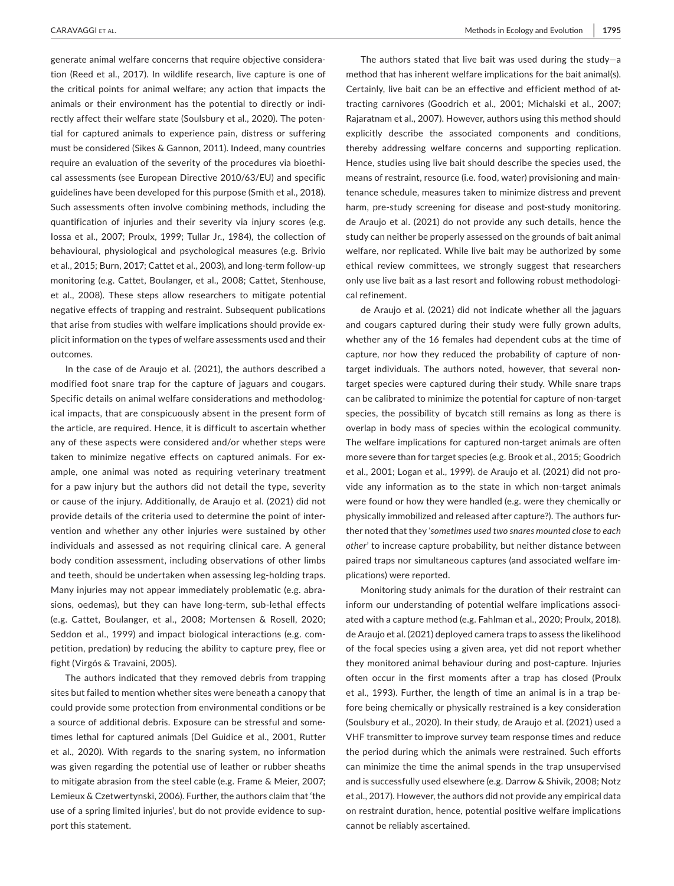generate animal welfare concerns that require objective consideration (Reed et al., 2017). In wildlife research, live capture is one of the critical points for animal welfare; any action that impacts the animals or their environment has the potential to directly or indirectly affect their welfare state (Soulsbury et al., 2020). The potential for captured animals to experience pain, distress or suffering must be considered (Sikes & Gannon, 2011). Indeed, many countries require an evaluation of the severity of the procedures via bioethical assessments (see European Directive 2010/63/EU) and specific guidelines have been developed for this purpose (Smith et al., 2018). Such assessments often involve combining methods, including the quantification of injuries and their severity via injury scores (e.g. Iossa et al., 2007; Proulx, 1999; Tullar Jr., 1984), the collection of behavioural, physiological and psychological measures (e.g. Brivio et al., 2015; Burn, 2017; Cattet et al., 2003), and long-term follow-up monitoring (e.g. Cattet, Boulanger, et al., 2008; Cattet, Stenhouse, et al., 2008). These steps allow researchers to mitigate potential negative effects of trapping and restraint. Subsequent publications that arise from studies with welfare implications should provide explicit information on the types of welfare assessments used and their outcomes.

In the case of de Araujo et al. (2021), the authors described a modified foot snare trap for the capture of jaguars and cougars. Specific details on animal welfare considerations and methodological impacts, that are conspicuously absent in the present form of the article, are required. Hence, it is difficult to ascertain whether any of these aspects were considered and/or whether steps were taken to minimize negative effects on captured animals. For example, one animal was noted as requiring veterinary treatment for a paw injury but the authors did not detail the type, severity or cause of the injury. Additionally, de Araujo et al. (2021) did not provide details of the criteria used to determine the point of intervention and whether any other injuries were sustained by other individuals and assessed as not requiring clinical care. A general body condition assessment, including observations of other limbs and teeth, should be undertaken when assessing leg-holding traps. Many injuries may not appear immediately problematic (e.g. abrasions, oedemas), but they can have long-term, sub-lethal effects (e.g. Cattet, Boulanger, et al., 2008; Mortensen & Rosell, 2020; Seddon et al., 1999) and impact biological interactions (e.g. competition, predation) by reducing the ability to capture prey, flee or fight (Virgós & Travaini, 2005).

The authors indicated that they removed debris from trapping sites but failed to mention whether sites were beneath a canopy that could provide some protection from environmental conditions or be a source of additional debris. Exposure can be stressful and sometimes lethal for captured animals (Del Guidice et al., 2001, Rutter et al., 2020). With regards to the snaring system, no information was given regarding the potential use of leather or rubber sheaths to mitigate abrasion from the steel cable (e.g. Frame & Meier, 2007; Lemieux & Czetwertynski, 2006). Further, the authors claim that 'the use of a spring limited injuries', but do not provide evidence to support this statement.

The authors stated that live bait was used during the study—a method that has inherent welfare implications for the bait animal(s). Certainly, live bait can be an effective and efficient method of attracting carnivores (Goodrich et al., 2001; Michalski et al., 2007; Rajaratnam et al., 2007). However, authors using this method should explicitly describe the associated components and conditions, thereby addressing welfare concerns and supporting replication. Hence, studies using live bait should describe the species used, the means of restraint, resource (i.e. food, water) provisioning and maintenance schedule, measures taken to minimize distress and prevent harm, pre-study screening for disease and post-study monitoring. de Araujo et al. (2021) do not provide any such details, hence the study can neither be properly assessed on the grounds of bait animal welfare, nor replicated. While live bait may be authorized by some ethical review committees, we strongly suggest that researchers only use live bait as a last resort and following robust methodological refinement.

de Araujo et al. (2021) did not indicate whether all the jaguars and cougars captured during their study were fully grown adults, whether any of the 16 females had dependent cubs at the time of capture, nor how they reduced the probability of capture of nontarget individuals. The authors noted, however, that several nontarget species were captured during their study. While snare traps can be calibrated to minimize the potential for capture of non-target species, the possibility of bycatch still remains as long as there is overlap in body mass of species within the ecological community. The welfare implications for captured non-target animals are often more severe than for target species (e.g. Brook et al., 2015; Goodrich et al., 2001; Logan et al., 1999). de Araujo et al. (2021) did not provide any information as to the state in which non-target animals were found or how they were handled (e.g. were they chemically or physically immobilized and released after capture?). The authors further noted that they '*sometimes used two snares mounted close to each other*' to increase capture probability, but neither distance between paired traps nor simultaneous captures (and associated welfare implications) were reported.

Monitoring study animals for the duration of their restraint can inform our understanding of potential welfare implications associated with a capture method (e.g. Fahlman et al., 2020; Proulx, 2018). de Araujo et al. (2021) deployed camera traps to assess the likelihood of the focal species using a given area, yet did not report whether they monitored animal behaviour during and post-capture. Injuries often occur in the first moments after a trap has closed (Proulx et al., 1993). Further, the length of time an animal is in a trap before being chemically or physically restrained is a key consideration (Soulsbury et al., 2020). In their study, de Araujo et al. (2021) used a VHF transmitter to improve survey team response times and reduce the period during which the animals were restrained. Such efforts can minimize the time the animal spends in the trap unsupervised and is successfully used elsewhere (e.g. Darrow & Shivik, 2008; Notz et al., 2017). However, the authors did not provide any empirical data on restraint duration, hence, potential positive welfare implications cannot be reliably ascertained.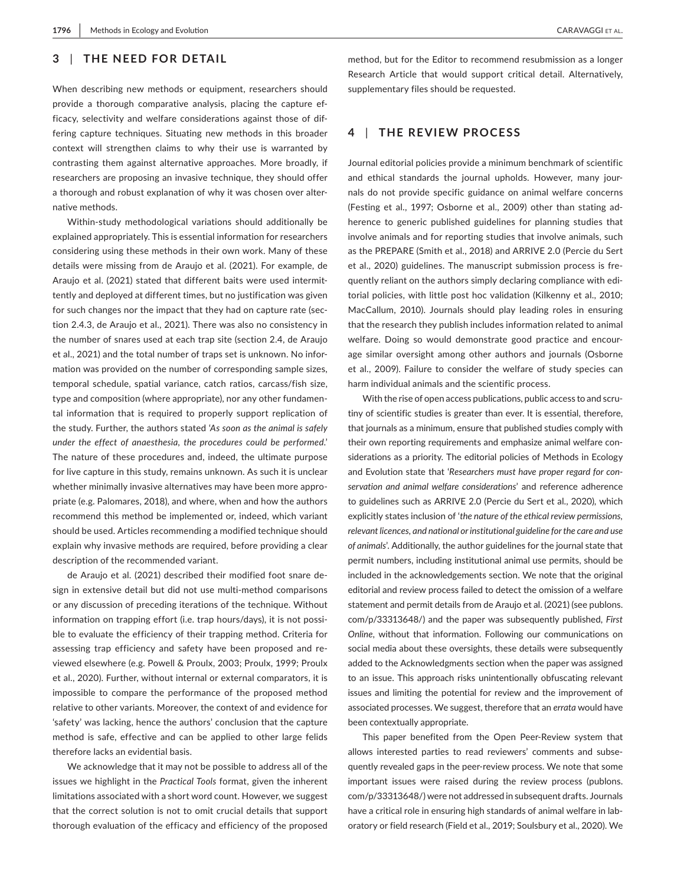# **3** | **THE NEED FOR DETAIL**

When describing new methods or equipment, researchers should provide a thorough comparative analysis, placing the capture efficacy, selectivity and welfare considerations against those of differing capture techniques. Situating new methods in this broader context will strengthen claims to why their use is warranted by contrasting them against alternative approaches. More broadly, if researchers are proposing an invasive technique, they should offer a thorough and robust explanation of why it was chosen over alternative methods.

Within-study methodological variations should additionally be explained appropriately. This is essential information for researchers considering using these methods in their own work. Many of these details were missing from de Araujo et al. (2021). For example, de Araujo et al. (2021) stated that different baits were used intermittently and deployed at different times, but no justification was given for such changes nor the impact that they had on capture rate (section 2.4.3, de Araujo et al., 2021). There was also no consistency in the number of snares used at each trap site (section 2.4, de Araujo et al., 2021) and the total number of traps set is unknown. No information was provided on the number of corresponding sample sizes, temporal schedule, spatial variance, catch ratios, carcass/fish size, type and composition (where appropriate), nor any other fundamental information that is required to properly support replication of the study. Further, the authors stated '*As soon as the animal is safely under the effect of anaesthesia, the procedures could be performed*.' The nature of these procedures and, indeed, the ultimate purpose for live capture in this study, remains unknown. As such it is unclear whether minimally invasive alternatives may have been more appropriate (e.g. Palomares, 2018), and where, when and how the authors recommend this method be implemented or, indeed, which variant should be used. Articles recommending a modified technique should explain why invasive methods are required, before providing a clear description of the recommended variant.

de Araujo et al. (2021) described their modified foot snare design in extensive detail but did not use multi-method comparisons or any discussion of preceding iterations of the technique. Without information on trapping effort (i.e. trap hours/days), it is not possible to evaluate the efficiency of their trapping method. Criteria for assessing trap efficiency and safety have been proposed and reviewed elsewhere (e.g. Powell & Proulx, 2003; Proulx, 1999; Proulx et al., 2020). Further, without internal or external comparators, it is impossible to compare the performance of the proposed method relative to other variants. Moreover, the context of and evidence for 'safety' was lacking, hence the authors' conclusion that the capture method is safe, effective and can be applied to other large felids therefore lacks an evidential basis.

We acknowledge that it may not be possible to address all of the issues we highlight in the *Practical Tools* format, given the inherent limitations associated with a short word count. However, we suggest that the correct solution is not to omit crucial details that support thorough evaluation of the efficacy and efficiency of the proposed

method, but for the Editor to recommend resubmission as a longer Research Article that would support critical detail. Alternatively, supplementary files should be requested.

## **4** | **THE REVIEW PROCESS**

Journal editorial policies provide a minimum benchmark of scientific and ethical standards the journal upholds. However, many journals do not provide specific guidance on animal welfare concerns (Festing et al., 1997; Osborne et al., 2009) other than stating adherence to generic published guidelines for planning studies that involve animals and for reporting studies that involve animals, such as the PREPARE (Smith et al., 2018) and ARRIVE 2.0 (Percie du Sert et al., 2020) guidelines. The manuscript submission process is frequently reliant on the authors simply declaring compliance with editorial policies, with little post hoc validation (Kilkenny et al., 2010; MacCallum, 2010). Journals should play leading roles in ensuring that the research they publish includes information related to animal welfare. Doing so would demonstrate good practice and encourage similar oversight among other authors and journals (Osborne et al., 2009). Failure to consider the welfare of study species can harm individual animals and the scientific process.

With the rise of open access publications, public access to and scrutiny of scientific studies is greater than ever. It is essential, therefore, that journals as a minimum, ensure that published studies comply with their own reporting requirements and emphasize animal welfare considerations as a priority. The editorial policies of Methods in Ecology and Evolution state that '*Researchers must have proper regard for conservation and animal welfare considerations*' and reference adherence to guidelines such as ARRIVE 2.0 (Percie du Sert et al., 2020), which explicitly states inclusion of '*the nature of the ethical review permissions, relevant licences, and national or institutional guideline for the care and use of animals*'. Additionally, the author guidelines for the journal state that permit numbers, including institutional animal use permits, should be included in the acknowledgements section. We note that the original editorial and review process failed to detect the omission of a welfare statement and permit details from de Araujo et al. (2021) (see [publons.](https://publons.com/p/33313648/) [com/p/33313648/\)](https://publons.com/p/33313648/) and the paper was subsequently published, *First Online*, without that information. Following our communications on social media about these oversights, these details were subsequently added to the Acknowledgments section when the paper was assigned to an issue. This approach risks unintentionally obfuscating relevant issues and limiting the potential for review and the improvement of associated processes. We suggest, therefore that an *errata* would have been contextually appropriate.

This paper benefited from the Open Peer-Review system that allows interested parties to read reviewers' comments and subsequently revealed gaps in the peer-review process. We note that some important issues were raised during the review process ([publons.](https://publons.com/p/33313648/) [com/p/33313648/\)](https://publons.com/p/33313648/) were not addressed in subsequent drafts. Journals have a critical role in ensuring high standards of animal welfare in laboratory or field research (Field et al., 2019; Soulsbury et al., 2020). We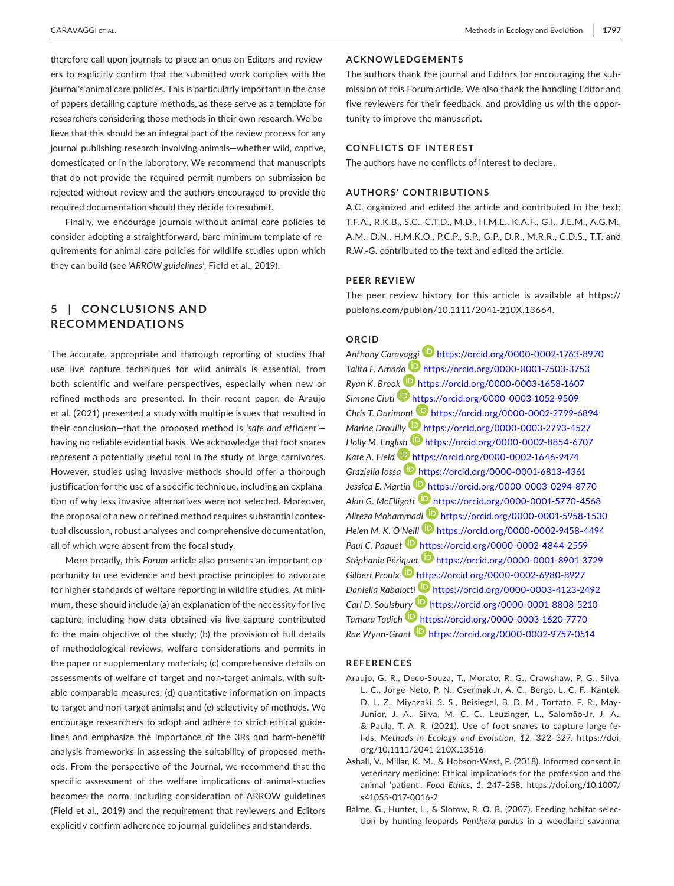therefore call upon journals to place an onus on Editors and reviewers to explicitly confirm that the submitted work complies with the journal's animal care policies. This is particularly important in the case of papers detailing capture methods, as these serve as a template for researchers considering those methods in their own research. We believe that this should be an integral part of the review process for any journal publishing research involving animals—whether wild, captive, domesticated or in the laboratory. We recommend that manuscripts that do not provide the required permit numbers on submission be rejected without review and the authors encouraged to provide the required documentation should they decide to resubmit.

Finally, we encourage journals without animal care policies to consider adopting a straightforward, bare-minimum template of requirements for animal care policies for wildlife studies upon which they can build (see '*ARROW guidelines*', Field et al., 2019).

# **5** | **CONCLUSIONS AND RECOMMENDATIONS**

The accurate, appropriate and thorough reporting of studies that use live capture techniques for wild animals is essential, from both scientific and welfare perspectives, especially when new or refined methods are presented. In their recent paper, de Araujo et al. (2021) presented a study with multiple issues that resulted in their conclusion—that the proposed method is '*safe and efficient*' having no reliable evidential basis. We acknowledge that foot snares represent a potentially useful tool in the study of large carnivores. However, studies using invasive methods should offer a thorough justification for the use of a specific technique, including an explanation of why less invasive alternatives were not selected. Moreover, the proposal of a new or refined method requires substantial contextual discussion, robust analyses and comprehensive documentation, all of which were absent from the focal study.

More broadly, this *Forum* article also presents an important opportunity to use evidence and best practise principles to advocate for higher standards of welfare reporting in wildlife studies. At minimum, these should include (a) an explanation of the necessity for live capture, including how data obtained via live capture contributed to the main objective of the study; (b) the provision of full details of methodological reviews, welfare considerations and permits in the paper or supplementary materials; (c) comprehensive details on assessments of welfare of target and non-target animals, with suitable comparable measures; (d) quantitative information on impacts to target and non-target animals; and (e) selectivity of methods. We encourage researchers to adopt and adhere to strict ethical guidelines and emphasize the importance of the 3Rs and harm-benefit analysis frameworks in assessing the suitability of proposed methods. From the perspective of the Journal, we recommend that the specific assessment of the welfare implications of animal-studies becomes the norm, including consideration of ARROW guidelines (Field et al., 2019) and the requirement that reviewers and Editors explicitly confirm adherence to journal guidelines and standards.

## **ACKNOWLEDGEMENTS**

The authors thank the journal and Editors for encouraging the submission of this Forum article. We also thank the handling Editor and five reviewers for their feedback, and providing us with the opportunity to improve the manuscript.

#### **CONFLICTS OF INTEREST**

The authors have no conflicts of interest to declare.

## **AUTHORS' CONTRIBUTIONS**

A.C. organized and edited the article and contributed to the text; T.F.A., R.K.B., S.C., C.T.D., M.D., H.M.E., K.A.F., G.I., J.E.M., A.G.M., A.M., D.N., H.M.K.O., P.C.P., S.P., G.P., D.R., M.R.R., C.D.S., T.T. and R.W.-G. contributed to the text and edited the article.

#### **PEER REVIEW**

The peer review history for this article is available at [https://](https://publons.com/publon/10.1111/2041-210X.13664) [publons.com/publon/10.1111/2041-210X.13664](https://publons.com/publon/10.1111/2041-210X.13664).

# **ORCID**

*Anthony Carav[aggi](https://orcid.org/0000-0001-7503-3753)* <https://orcid.org/0000-0002-1763-8970> *Talita F. Ama[do](https://orcid.org/0000-0003-1658-1607)* <https://orcid.org/0000-0001-7503-3753> *Ryan K. Bro[ok](https://orcid.org/0000-0003-1052-9509)* <https://orcid.org/0000-0003-1658-1607> *Simone Ciuti* <https://orcid.org/0000-0003-1052-9509> *Chris T. Darimo[nt](https://orcid.org/0000-0003-2793-4527)* <https://orcid.org/0000-0002-2799-6894> *Marine Drouilly* <https://orcid.org/0000-0003-2793-4527> *Holly M. Eng[lish](https://orcid.org/0000-0002-1646-9474)* <https://orcid.org/0000-0002-8854-6707> *Kate A. Field* <https://orcid.org/0000-0002-1646-9474> *Graziella Iossa* <https://orcid.org/0000-0001-6813-4361> *Jessica E. Martin* <https://orcid.org/0000-0003-0294-8770> *Alan G. McElligott* <https://orcid.org/0000-0001-5770-4568> *Alireza Mohamma[di](https://orcid.org/0000-0002-9458-4494)* <https://orcid.org/0000-0001-5958-1530> *Helen M. K. O'[Neill](https://orcid.org/0000-0002-4844-2559)* <https://orcid.org/0000-0002-9458-4494> *Paul C. Paquet* <https://orcid.org/0000-0002-4844-2559> *Stéphanie Pér[iquet](https://orcid.org/0000-0002-6980-8927)* <https://orcid.org/0000-0001-8901-3729> *Gilbert Proulx* <https://orcid.org/0000-0002-6980-8927> *Daniella Rabaiot[ti](https://orcid.org/0000-0001-8808-5210)* <https://orcid.org/0000-0003-4123-2492> *Carl D. Soulsb[ury](https://orcid.org/0000-0003-1620-7770)* <https://orcid.org/0000-0001-8808-5210> *Tamara Tadich* <https://orcid.org/0000-0003-1620-7770> *Rae Wynn-Grant* <https://orcid.org/0000-0002-9757-0514>

## **REFERENCES**

- Araujo, G. R., Deco-Souza, T., Morato, R. G., Crawshaw, P. G., Silva, L. C., Jorge-Neto, P. N., Csermak-Jr, A. C., Bergo, L. C. F., Kantek, D. L. Z., Miyazaki, S. S., Beisiegel, B. D. M., Tortato, F. R., May-Junior, J. A., Silva, M. C. C., Leuzinger, L., Salomão-Jr, J. A., & Paula, T. A. R. (2021). Use of foot snares to capture large felids. *Methods in Ecology and Evolution*, *12*, 322–327. [https://doi.](https://doi.org/10.1111/2041-210X.13516) [org/10.1111/2041-210X.13516](https://doi.org/10.1111/2041-210X.13516)
- Ashall, V., Millar, K. M., & Hobson-West, P. (2018). Informed consent in veterinary medicine: Ethical implications for the profession and the animal 'patient'. *Food Ethics*, *1*, 247–258. [https://doi.org/10.1007/](https://doi.org/10.1007/s41055-017-0016-2) [s41055-017-0016-2](https://doi.org/10.1007/s41055-017-0016-2)
- Balme, G., Hunter, L., & Slotow, R. O. B. (2007). Feeding habitat selection by hunting leopards *Panthera pardus* in a woodland savanna: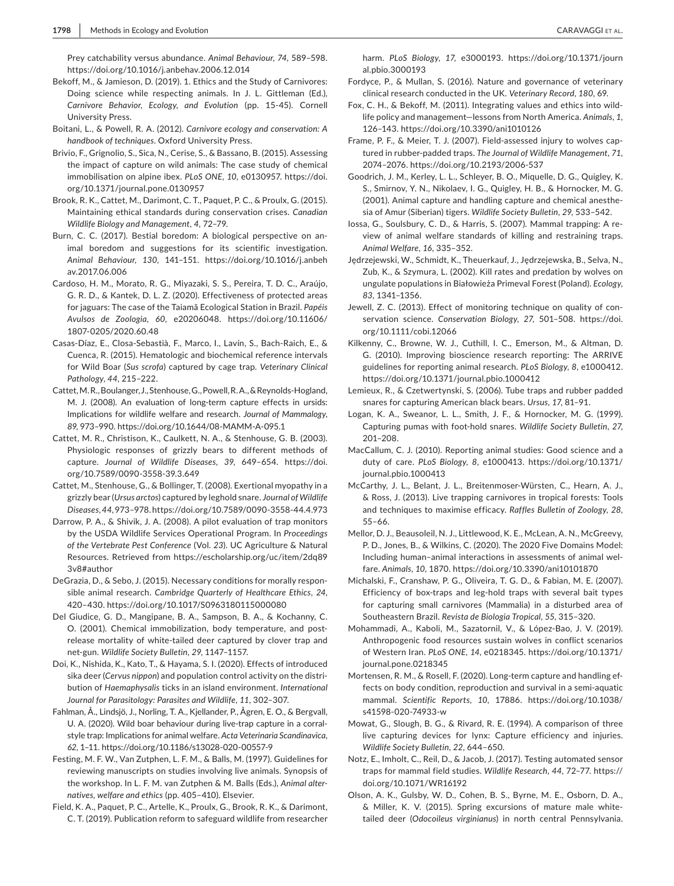Prey catchability versus abundance. *Animal Behaviour*, *74*, 589–598. <https://doi.org/10.1016/j.anbehav.2006.12.014>

- Bekoff, M., & Jamieson, D. (2019). 1. Ethics and the Study of Carnivores: Doing science while respecting animals. In J. L. Gittleman (Ed.), *Carnivore Behavior, Ecology, and Evolution* (pp. 15-45). Cornell University Press.
- Boitani, L., & Powell, R. A. (2012). *Carnivore ecology and conservation: A handbook of techniques*. Oxford University Press.
- Brivio, F., Grignolio, S., Sica, N., Cerise, S., & Bassano, B. (2015). Assessing the impact of capture on wild animals: The case study of chemical immobilisation on alpine ibex. *PLoS ONE*, *10*, e0130957. [https://doi.](https://doi.org/10.1371/journal.pone.0130957) [org/10.1371/journal.pone.0130957](https://doi.org/10.1371/journal.pone.0130957)
- Brook, R. K., Cattet, M., Darimont, C. T., Paquet, P. C., & Proulx, G. (2015). Maintaining ethical standards during conservation crises. *Canadian Wildlife Biology and Management*, *4*, 72–79.
- Burn, C. C. (2017). Bestial boredom: A biological perspective on animal boredom and suggestions for its scientific investigation. *Animal Behaviour*, *130*, 141–151. [https://doi.org/10.1016/j.anbeh](https://doi.org/10.1016/j.anbehav.2017.06.006) [av.2017.06.006](https://doi.org/10.1016/j.anbehav.2017.06.006)
- Cardoso, H. M., Morato, R. G., Miyazaki, S. S., Pereira, T. D. C., Araújo, G. R. D., & Kantek, D. L. Z. (2020). Effectiveness of protected areas for jaguars: The case of the Taiamã Ecological Station in Brazil. *Papéis Avulsos de Zoologia*, *60*, e20206048. [https://doi.org/10.11606/](https://doi.org/10.11606/1807-0205/2020.60.48) [1807-0205/2020.60.48](https://doi.org/10.11606/1807-0205/2020.60.48)
- Casas-Díaz, E., Closa-Sebastià, F., Marco, I., Lavín, S., Bach-Raich, E., & Cuenca, R. (2015). Hematologic and biochemical reference intervals for Wild Boar (*Sus scrofa*) captured by cage trap. *Veterinary Clinical Pathology*, *44*, 215–222.
- Cattet, M. R., Boulanger, J., Stenhouse, G., Powell, R. A., & Reynolds-Hogland, M. J. (2008). An evaluation of long-term capture effects in ursids: Implications for wildlife welfare and research. *Journal of Mammalogy*, *89*, 973–990. <https://doi.org/10.1644/08-MAMM-A-095.1>
- Cattet, M. R., Christison, K., Caulkett, N. A., & Stenhouse, G. B. (2003). Physiologic responses of grizzly bears to different methods of capture. *Journal of Wildlife Diseases*, *39*, 649–654. [https://doi.](https://doi.org/10.7589/0090-3558-39.3.649) [org/10.7589/0090-3558-39.3.649](https://doi.org/10.7589/0090-3558-39.3.649)
- Cattet, M., Stenhouse, G., & Bollinger, T. (2008). Exertional myopathy in a grizzly bear (*Ursus arctos*) captured by leghold snare. *Journal of Wildlife Diseases*, *44*, 973–978.<https://doi.org/10.7589/0090-3558-44.4.973>
- Darrow, P. A., & Shivik, J. A. (2008). A pilot evaluation of trap monitors by the USDA Wildlife Services Operational Program. In *Proceedings of the Vertebrate Pest Conference* (Vol. *23*). UC Agriculture & Natural Resources. Retrieved from [https://escholarship.org/uc/item/2dq89](https://escholarship.org/uc/item/2dq893v8#author) [3v8#author](https://escholarship.org/uc/item/2dq893v8#author)
- DeGrazia, D., & Sebo, J. (2015). Necessary conditions for morally responsible animal research. *Cambridge Quarterly of Healthcare Ethics*, *24*, 420–430. <https://doi.org/10.1017/S0963180115000080>
- Del Giudice, G. D., Mangipane, B. A., Sampson, B. A., & Kochanny, C. O. (2001). Chemical immobilization, body temperature, and postrelease mortality of white-tailed deer captured by clover trap and net-gun. *Wildlife Society Bulletin*, *29*, 1147–1157.
- Doi, K., Nishida, K., Kato, T., & Hayama, S. I. (2020). Effects of introduced sika deer (*Cervus nippon*) and population control activity on the distribution of *Haemaphysalis* ticks in an island environment. *International Journal for Parasitology: Parasites and Wildlife*, *11*, 302–307.
- Fahlman, Å., Lindsjö, J., Norling, T. A., Kjellander, P., Ågren, E. O., & Bergvall, U. A. (2020). Wild boar behaviour during live-trap capture in a corralstyle trap: Implications for animal welfare. *Acta Veterinaria Scandinavica*, *62*, 1–11.<https://doi.org/10.1186/s13028-020-00557-9>
- Festing, M. F. W., Van Zutphen, L. F. M., & Balls, M. (1997). Guidelines for reviewing manuscripts on studies involving live animals. Synopsis of the workshop. In L. F. M. van Zutphen & M. Balls (Eds.), *Animal alternatives, welfare and ethics* (pp. 405–410). Elsevier.
- Field, K. A., Paquet, P. C., Artelle, K., Proulx, G., Brook, R. K., & Darimont, C. T. (2019). Publication reform to safeguard wildlife from researcher

harm. *PLoS Biology*, *17*, e3000193. [https://doi.org/10.1371/journ](https://doi.org/10.1371/journal.pbio.3000193) [al.pbio.3000193](https://doi.org/10.1371/journal.pbio.3000193)

- Fordyce, P., & Mullan, S. (2016). Nature and governance of veterinary clinical research conducted in the UK. *Veterinary Record*, *180*, 69.
- Fox, C. H., & Bekoff, M. (2011). Integrating values and ethics into wildlife policy and management—lessons from North America. *Animals*, *1*, 126–143.<https://doi.org/10.3390/ani1010126>
- Frame, P. F., & Meier, T. J. (2007). Field-assessed injury to wolves captured in rubber-padded traps. *The Journal of Wildlife Management*, *71*, 2074–2076. <https://doi.org/10.2193/2006-537>
- Goodrich, J. M., Kerley, L. L., Schleyer, B. O., Miquelle, D. G., Quigley, K. S., Smirnov, Y. N., Nikolaev, I. G., Quigley, H. B., & Hornocker, M. G. (2001). Animal capture and handling capture and chemical anesthesia of Amur (Siberian) tigers. *Wildlife Society Bulletin*, *29*, 533–542.
- Iossa, G., Soulsbury, C. D., & Harris, S. (2007). Mammal trapping: A review of animal welfare standards of killing and restraining traps. *Animal Welfare*, *16*, 335–352.
- Jędrzejewski, W., Schmidt, K., Theuerkauf, J., Jędrzejewska, B., Selva, N., Zub, K., & Szymura, L. (2002). Kill rates and predation by wolves on ungulate populations in Białowieża Primeval Forest (Poland). *Ecology*, *83*, 1341–1356.
- Jewell, Z. C. (2013). Effect of monitoring technique on quality of conservation science. *Conservation Biology*, *27*, 501–508. [https://doi.](https://doi.org/10.1111/cobi.12066) [org/10.1111/cobi.12066](https://doi.org/10.1111/cobi.12066)
- Kilkenny, C., Browne, W. J., Cuthill, I. C., Emerson, M., & Altman, D. G. (2010). Improving bioscience research reporting: The ARRIVE guidelines for reporting animal research. *PLoS Biology*, *8*, e1000412. <https://doi.org/10.1371/journal.pbio.1000412>
- Lemieux, R., & Czetwertynski, S. (2006). Tube traps and rubber padded snares for capturing American black bears. *Ursus*, *17*, 81–91.
- Logan, K. A., Sweanor, L. L., Smith, J. F., & Hornocker, M. G. (1999). Capturing pumas with foot-hold snares. *Wildlife Society Bulletin*, *27*, 201–208.
- MacCallum, C. J. (2010). Reporting animal studies: Good science and a duty of care. *PLoS Biology*, *8*, e1000413. [https://doi.org/10.1371/](https://doi.org/10.1371/journal.pbio.1000413) [journal.pbio.1000413](https://doi.org/10.1371/journal.pbio.1000413)
- McCarthy, J. L., Belant, J. L., Breitenmoser-Würsten, C., Hearn, A. J., & Ross, J. (2013). Live trapping carnivores in tropical forests: Tools and techniques to maximise efficacy. *Raffles Bulletin of Zoology*, *28*, 55–66.
- Mellor, D. J., Beausoleil, N. J., Littlewood, K. E., McLean, A. N., McGreevy, P. D., Jones, B., & Wilkins, C. (2020). The 2020 Five Domains Model: Including human–animal interactions in assessments of animal welfare. *Animals*, *10*, 1870.<https://doi.org/10.3390/ani10101870>
- Michalski, F., Cranshaw, P. G., Oliveira, T. G. D., & Fabian, M. E. (2007). Efficiency of box-traps and leg-hold traps with several bait types for capturing small carnivores (Mammalia) in a disturbed area of Southeastern Brazil. *Revista de Biologia Tropical*, *55*, 315–320.
- Mohammadi, A., Kaboli, M., Sazatornil, V., & López-Bao, J. V. (2019). Anthropogenic food resources sustain wolves in conflict scenarios of Western Iran. *PLoS ONE*, *14*, e0218345. [https://doi.org/10.1371/](https://doi.org/10.1371/journal.pone.0218345) [journal.pone.0218345](https://doi.org/10.1371/journal.pone.0218345)
- Mortensen, R. M., & Rosell, F. (2020). Long-term capture and handling effects on body condition, reproduction and survival in a semi-aquatic mammal. *Scientific Reports*, *10*, 17886. [https://doi.org/10.1038/](https://doi.org/10.1038/s41598-020-74933-w) [s41598-020-74933-w](https://doi.org/10.1038/s41598-020-74933-w)
- Mowat, G., Slough, B. G., & Rivard, R. E. (1994). A comparison of three live capturing devices for lynx: Capture efficiency and injuries. *Wildlife Society Bulletin*, *22*, 644–650.
- Notz, E., Imholt, C., Reil, D., & Jacob, J. (2017). Testing automated sensor traps for mammal field studies. *Wildlife Research*, *44*, 72–77. [https://](https://doi.org/10.1071/WR16192) [doi.org/10.1071/WR16192](https://doi.org/10.1071/WR16192)
- Olson, A. K., Gulsby, W. D., Cohen, B. S., Byrne, M. E., Osborn, D. A., & Miller, K. V. (2015). Spring excursions of mature male whitetailed deer (*Odocoileus virginianus*) in north central Pennsylvania.